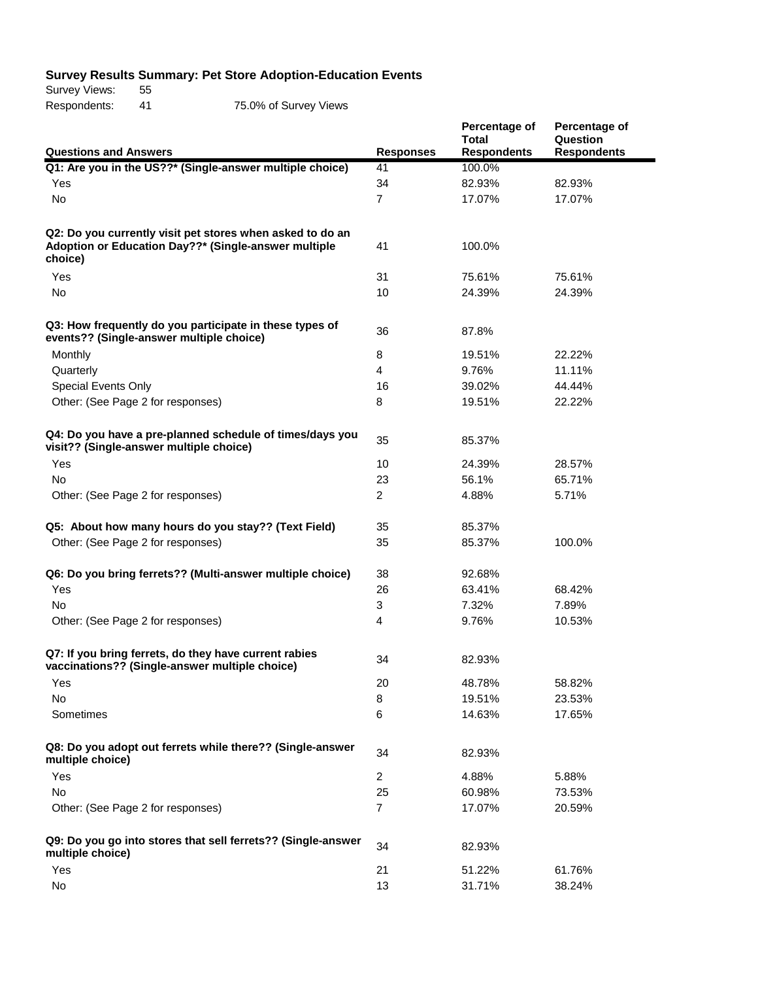## **Survey Results Summary: Pet Store Adoption-Education Events**

Survey Views: 55 Respondents: 41 75.0% of Survey Views

| <b>Questions and Answers</b>                                                                                                 | <b>Responses</b> | Percentage of<br><b>Total</b><br><b>Respondents</b> | Percentage of<br>Question<br><b>Respondents</b> |
|------------------------------------------------------------------------------------------------------------------------------|------------------|-----------------------------------------------------|-------------------------------------------------|
| Q1: Are you in the US??* (Single-answer multiple choice)                                                                     | 41               | 100.0%                                              |                                                 |
| Yes                                                                                                                          | 34               | 82.93%                                              | 82.93%                                          |
| No                                                                                                                           | $\overline{7}$   | 17.07%                                              | 17.07%                                          |
| Q2: Do you currently visit pet stores when asked to do an<br>Adoption or Education Day??* (Single-answer multiple<br>choice) | 41               | 100.0%                                              |                                                 |
| Yes                                                                                                                          | 31               | 75.61%                                              | 75.61%                                          |
| No                                                                                                                           | 10               | 24.39%                                              | 24.39%                                          |
| Q3: How frequently do you participate in these types of<br>events?? (Single-answer multiple choice)                          | 36               | 87.8%                                               |                                                 |
| Monthly                                                                                                                      | 8                | 19.51%                                              | 22.22%                                          |
| Quarterly                                                                                                                    | 4                | 9.76%                                               | 11.11%                                          |
| <b>Special Events Only</b>                                                                                                   | 16               | 39.02%                                              | 44.44%                                          |
| Other: (See Page 2 for responses)                                                                                            | 8                | 19.51%                                              | 22.22%                                          |
| Q4: Do you have a pre-planned schedule of times/days you<br>visit?? (Single-answer multiple choice)                          | 35               | 85.37%                                              |                                                 |
| Yes                                                                                                                          | 10               | 24.39%                                              | 28.57%                                          |
| <b>No</b>                                                                                                                    | 23               | 56.1%                                               | 65.71%                                          |
| Other: (See Page 2 for responses)                                                                                            | $\overline{2}$   | 4.88%                                               | 5.71%                                           |
| Q5: About how many hours do you stay?? (Text Field)                                                                          | 35               | 85.37%                                              |                                                 |
| Other: (See Page 2 for responses)                                                                                            | 35               | 85.37%                                              | 100.0%                                          |
| Q6: Do you bring ferrets?? (Multi-answer multiple choice)                                                                    | 38               | 92.68%                                              |                                                 |
| Yes                                                                                                                          | 26               | 63.41%                                              | 68.42%                                          |
| <b>No</b>                                                                                                                    | 3                | 7.32%                                               | 7.89%                                           |
| Other: (See Page 2 for responses)                                                                                            | 4                | 9.76%                                               | 10.53%                                          |
| Q7: If you bring ferrets, do they have current rabies<br>vaccinations?? (Single-answer multiple choice)                      | 34               | 82.93%                                              |                                                 |
| Yes                                                                                                                          | 20               | 48.78%                                              | 58.82%                                          |
| No                                                                                                                           | 8                | 19.51%                                              | 23.53%                                          |
| Sometimes                                                                                                                    | 6                | 14.63%                                              | 17.65%                                          |
| Q8: Do you adopt out ferrets while there?? (Single-answer<br>multiple choice)                                                | 34               | 82.93%                                              |                                                 |
| Yes                                                                                                                          | $\overline{2}$   | 4.88%                                               | 5.88%                                           |
| No                                                                                                                           | 25               | 60.98%                                              | 73.53%                                          |
| Other: (See Page 2 for responses)                                                                                            | 7                | 17.07%                                              | 20.59%                                          |
| Q9: Do you go into stores that sell ferrets?? (Single-answer<br>multiple choice)                                             | 34               | 82.93%                                              |                                                 |
| Yes                                                                                                                          | 21               | 51.22%                                              | 61.76%                                          |
| No                                                                                                                           | 13               | 31.71%                                              | 38.24%                                          |